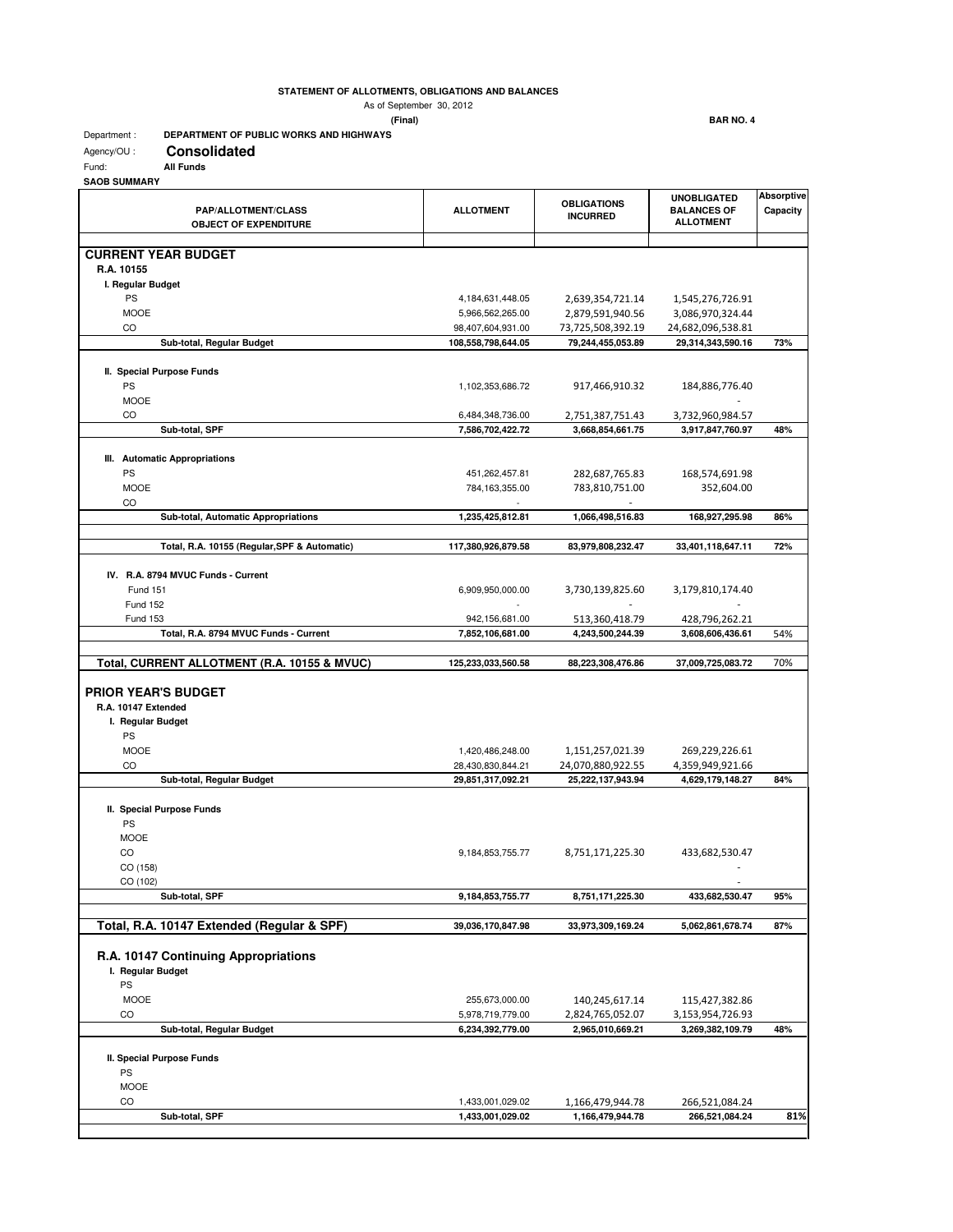## **STATEMENT OF ALLOTMENTS, OBLIGATIONS AND BALANCES**

As of September 30, 2012

 **(Final) BAR NO. 4**

## Department : **DEPARTMENT OF PUBLIC WORKS AND HIGHWAYS**

| <b>Consolidated</b><br>Agency/OU: |
|-----------------------------------|
|-----------------------------------|

Fund: **All Funds**

**SAOB SUMMARY**

| <b>PAP/ALLOTMENT/CLASS</b><br><b>OBJECT OF EXPENDITURE</b> | <b>ALLOTMENT</b>     | <b>OBLIGATIONS</b><br><b>INCURRED</b> | <b>UNOBLIGATED</b><br><b>BALANCES OF</b><br><b>ALLOTMENT</b> | <b>Absorptive</b><br>Capacity |
|------------------------------------------------------------|----------------------|---------------------------------------|--------------------------------------------------------------|-------------------------------|
| <b>CURRENT YEAR BUDGET</b>                                 |                      |                                       |                                                              |                               |
| R.A. 10155                                                 |                      |                                       |                                                              |                               |
| I. Regular Budget                                          |                      |                                       |                                                              |                               |
| <b>PS</b>                                                  | 4, 184, 631, 448. 05 | 2,639,354,721.14                      | 1,545,276,726.91                                             |                               |
| <b>MOOE</b>                                                | 5,966,562,265.00     | 2,879,591,940.56                      | 3,086,970,324.44                                             |                               |
| CO                                                         | 98,407,604,931.00    | 73,725,508,392.19                     | 24,682,096,538.81                                            |                               |
| Sub-total, Regular Budget                                  | 108,558,798,644.05   | 79,244,455,053.89                     | 29,314,343,590.16                                            | 73%                           |
| II. Special Purpose Funds                                  |                      |                                       |                                                              |                               |
| PS                                                         | 1,102,353,686.72     | 917,466,910.32                        | 184,886,776.40                                               |                               |
| <b>MOOE</b>                                                |                      |                                       |                                                              |                               |
| CO                                                         | 6,484,348,736.00     | 2,751,387,751.43                      | 3,732,960,984.57                                             |                               |
| Sub-total, SPF                                             | 7,586,702,422.72     | 3,668,854,661.75                      | 3,917,847,760.97                                             | 48%                           |
| III. Automatic Appropriations                              |                      |                                       |                                                              |                               |
| PS                                                         | 451,262,457.81       | 282,687,765.83                        | 168,574,691.98                                               |                               |
| <b>MOOE</b>                                                | 784,163,355.00       | 783,810,751.00                        | 352,604.00                                                   |                               |
| CO                                                         |                      |                                       |                                                              |                               |
| Sub-total, Automatic Appropriations                        | 1,235,425,812.81     | 1,066,498,516.83                      | 168,927,295.98                                               | 86%                           |
| Total, R.A. 10155 (Regular, SPF & Automatic)               | 117,380,926,879.58   | 83,979,808,232.47                     | 33,401,118,647.11                                            | 72%                           |
|                                                            |                      |                                       |                                                              |                               |
| IV. R.A. 8794 MVUC Funds - Current                         |                      |                                       |                                                              |                               |
| <b>Fund 151</b>                                            | 6,909,950,000.00     | 3,730,139,825.60<br>$\overline{a}$    | 3,179,810,174.40                                             |                               |
| <b>Fund 152</b><br><b>Fund 153</b>                         | 942,156,681.00       | 513,360,418.79                        | 428,796,262.21                                               |                               |
| Total, R.A. 8794 MVUC Funds - Current                      | 7,852,106,681.00     | 4,243,500,244.39                      | 3,608,606,436.61                                             | 54%                           |
|                                                            |                      |                                       |                                                              |                               |
| Total, CURRENT ALLOTMENT (R.A. 10155 & MVUC)               | 125,233,033,560.58   | 88,223,308,476.86                     | 37,009,725,083.72                                            | 70%                           |
|                                                            |                      |                                       |                                                              |                               |
| <b>PRIOR YEAR'S BUDGET</b><br>R.A. 10147 Extended          |                      |                                       |                                                              |                               |
| I. Regular Budget                                          |                      |                                       |                                                              |                               |
| PS                                                         |                      |                                       |                                                              |                               |
| <b>MOOE</b>                                                | 1,420,486,248.00     | 1,151,257,021.39                      | 269,229,226.61                                               |                               |
| CO                                                         | 28,430,830,844.21    | 24,070,880,922.55                     | 4,359,949,921.66                                             |                               |
| Sub-total, Regular Budget                                  | 29,851,317,092.21    | 25,222,137,943.94                     | 4,629,179,148.27                                             | 84%                           |
|                                                            |                      |                                       |                                                              |                               |
| II. Special Purpose Funds<br>PS                            |                      |                                       |                                                              |                               |
| MOOE                                                       |                      |                                       |                                                              |                               |
| CO                                                         | 9, 184, 853, 755. 77 | 8,751,171,225.30                      | 433,682,530.47                                               |                               |
| CO (158)                                                   |                      |                                       |                                                              |                               |
| CO (102)                                                   |                      |                                       |                                                              |                               |
| Sub-total, SPF                                             | 9,184,853,755.77     | 8,751,171,225.30                      | 433,682,530.47                                               | 95%                           |
| Total, R.A. 10147 Extended (Regular & SPF)                 | 39,036,170,847.98    | 33,973,309,169.24                     | 5,062,861,678.74                                             | 87%                           |
|                                                            |                      |                                       |                                                              |                               |
| R.A. 10147 Continuing Appropriations                       |                      |                                       |                                                              |                               |
| I. Regular Budget<br>PS                                    |                      |                                       |                                                              |                               |
| <b>MOOE</b>                                                | 255,673,000.00       | 140,245,617.14                        | 115,427,382.86                                               |                               |
| CO                                                         | 5,978,719,779.00     | 2,824,765,052.07                      | 3,153,954,726.93                                             |                               |
| Sub-total, Regular Budget                                  | 6,234,392,779.00     | 2,965,010,669.21                      | 3,269,382,109.79                                             | 48%                           |
|                                                            |                      |                                       |                                                              |                               |
| II. Special Purpose Funds                                  |                      |                                       |                                                              |                               |
| PS                                                         |                      |                                       |                                                              |                               |
| <b>MOOE</b>                                                |                      |                                       |                                                              |                               |
| CO                                                         | 1,433,001,029.02     | 1,166,479,944.78                      | 266,521,084.24                                               |                               |
| Sub-total, SPF                                             | 1,433,001,029.02     | 1,166,479,944.78                      | 266,521,084.24                                               | 81%                           |